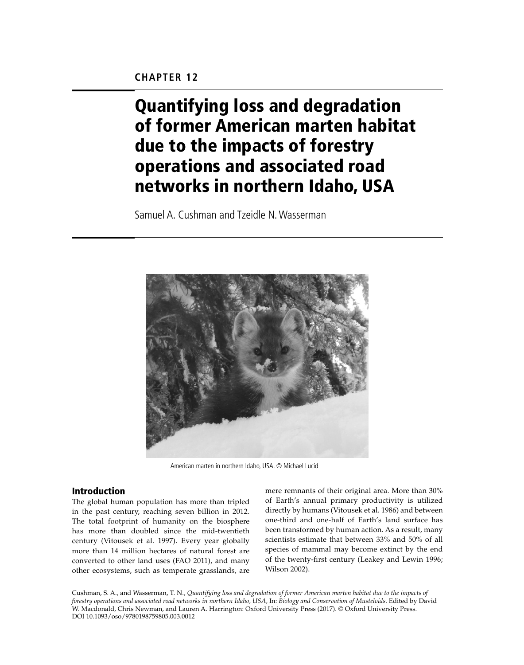# Quantifying loss and degradation of former American marten habitat due to the impacts of forestry operations and associated road networks in northern Idaho, USA

Samuel A. Cushman and Tzeidle N. Wasserman



American marten in northern Idaho, USA. © Michael Lucid

# Introduction

The global human population has more than tripled in the past century, reaching seven billion in 2012. The total footprint of humanity on the biosphere has more than doubled since the mid-twentieth century (Vitousek et al. 1997). Every year globally more than 14 million hectares of natural forest are converted to other land uses (FAO 2011), and many other ecosystems, such as temperate grasslands, are

mere remnants of their original area. More than 30% of Earth's annual primary productivity is utilized directly by humans (Vitousek et al. 1986) and between one-third and one-half of Earth's land surface has been transformed by human action. As a result, many scientists estimate that between 33% and 50% of all species of mammal may become extinct by the end of the twenty-first century (Leakey and Lewin 1996; Wilson 2002).

Cushman, S. A., and Wasserman, T. N., *Quantifying loss and degradation of former American marten habitat due to the impacts of forestry operations and associated road networks in northern Idaho, USA,* In: *Biology and Conservation of Musteloids*. Edited by David W. Macdonald, Chris Newman, and Lauren A. Harrington: Oxford University Press (2017). © Oxford University Press. DOI 10.1093/oso/9780198759805.003.0012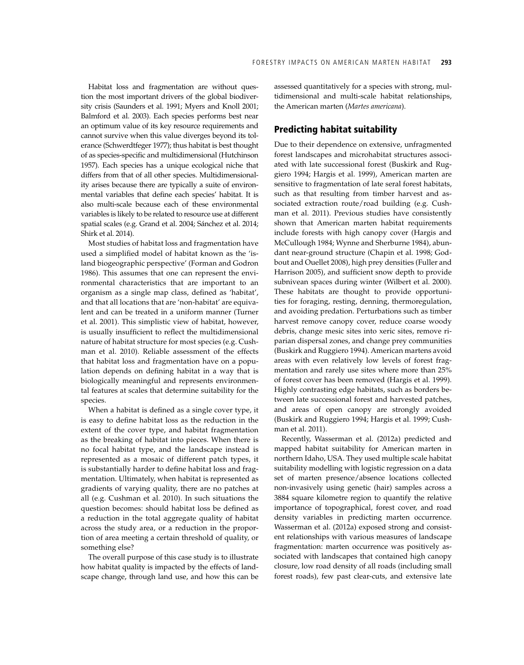Habitat loss and fragmentation are without question the most important drivers of the global biodiversity crisis (Saunders et al. 1991; Myers and Knoll 2001; Balmford et al. 2003). Each species performs best near an optimum value of its key resource requirements and cannot survive when this value diverges beyond its tolerance (Schwerdtfeger 1977); thus habitat is best thought of as species-specific and multidimensional (Hutchinson 1957). Each species has a unique ecological niche that differs from that of all other species. Multidimensionality arises because there are typically a suite of environmental variables that define each species' habitat. It is also multi-scale because each of these environmental variables is likely to be related to resource use at different spatial scales (e.g. Grand et al. 2004; Sánchez et al. 2014; Shirk et al. 2014).

Most studies of habitat loss and fragmentation have used a simplified model of habitat known as the 'island biogeographic perspective' (Forman and Godron 1986). This assumes that one can represent the environmental characteristics that are important to an organism as a single map class, defined as 'habitat', and that all locations that are 'non-habitat' are equivalent and can be treated in a uniform manner (Turner et al. 2001). This simplistic view of habitat, however, is usually insufficient to reflect the multidimensional nature of habitat structure for most species (e.g. Cushman et al. 2010). Reliable assessment of the effects that habitat loss and fragmentation have on a population depends on defining habitat in a way that is biologically meaningful and represents environmental features at scales that determine suitability for the species.

When a habitat is defined as a single cover type, it is easy to define habitat loss as the reduction in the extent of the cover type, and habitat fragmentation as the breaking of habitat into pieces. When there is no focal habitat type, and the landscape instead is represented as a mosaic of different patch types, it is substantially harder to define habitat loss and fragmentation. Ultimately, when habitat is represented as gradients of varying quality, there are no patches at all (e.g. Cushman et al. 2010). In such situations the question becomes: should habitat loss be defined as a reduction in the total aggregate quality of habitat across the study area, or a reduction in the proportion of area meeting a certain threshold of quality, or something else?

The overall purpose of this case study is to illustrate how habitat quality is impacted by the effects of landscape change, through land use, and how this can be assessed quantitatively for a species with strong, multidimensional and multi-scale habitat relationships, the American marten (*Martes americana*).

# Predicting habitat suitability

Due to their dependence on extensive, unfragmented forest landscapes and microhabitat structures associated with late successional forest (Buskirk and Ruggiero 1994; Hargis et al. 1999), American marten are sensitive to fragmentation of late seral forest habitats, such as that resulting from timber harvest and associated extraction route/road building (e.g. Cushman et al. 2011). Previous studies have consistently shown that American marten habitat requirements include forests with high canopy cover (Hargis and McCullough 1984; Wynne and Sherburne 1984), abundant near-ground structure (Chapin et al. 1998; Godbout and Ouellet 2008), high prey densities (Fuller and Harrison 2005), and sufficient snow depth to provide subnivean spaces during winter (Wilbert et al. 2000). These habitats are thought to provide opportunities for foraging, resting, denning, thermoregulation, and avoiding predation. Perturbations such as timber harvest remove canopy cover, reduce coarse woody debris, change mesic sites into xeric sites, remove riparian dispersal zones, and change prey communities (Buskirk and Ruggiero 1994). American martens avoid areas with even relatively low levels of forest fragmentation and rarely use sites where more than 25% of forest cover has been removed (Hargis et al. 1999). Highly contrasting edge habitats, such as borders between late successional forest and harvested patches, and areas of open canopy are strongly avoided (Buskirk and Ruggiero 1994; Hargis et al. 1999; Cushman et al. 2011).

Recently, Wasserman et al. (2012a) predicted and mapped habitat suitability for American marten in northern Idaho, USA. They used multiple scale habitat suitability modelling with logistic regression on a data set of marten presence/absence locations collected non-invasively using genetic (hair) samples across a 3884 square kilometre region to quantify the relative importance of topographical, forest cover, and road density variables in predicting marten occurrence. Wasserman et al. (2012a) exposed strong and consistent relationships with various measures of landscape fragmentation: marten occurrence was positively associated with landscapes that contained high canopy closure, low road density of all roads (including small forest roads), few past clear-cuts, and extensive late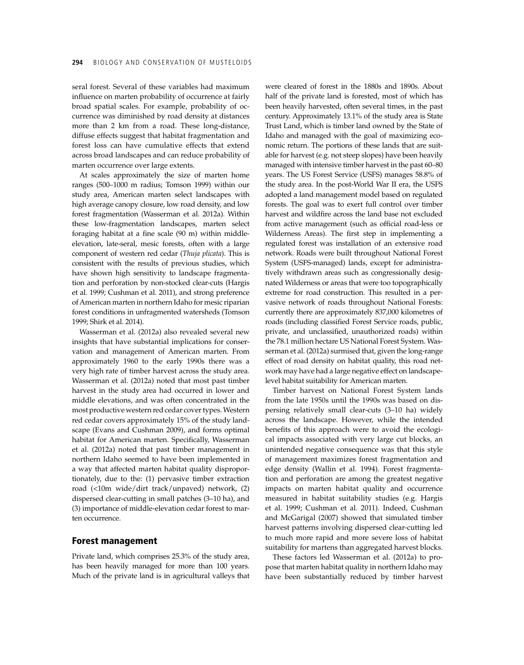seral forest. Several of these variables had maximum influence on marten probability of occurrence at fairly broad spatial scales. For example, probability of occurrence was diminished by road density at distances more than 2 km from a road. These long-distance, diffuse effects suggest that habitat fragmentation and forest loss can have cumulative effects that extend across broad landscapes and can reduce probability of marten occurrence over large extents.

At scales approximately the size of marten home ranges (500–1000 m radius; Tomson 1999) within our study area, American marten select landscapes with high average canopy closure, low road density, and low forest fragmentation (Wasserman et al. 2012a). Within these low-fragmentation landscapes, marten select foraging habitat at a fine scale (90 m) within middleelevation, late-seral, mesic forests, often with a large component of western red cedar (*Thuja plicata*). This is consistent with the results of previous studies, which have shown high sensitivity to landscape fragmentation and perforation by non-stocked clear-cuts (Hargis et al. 1999; Cushman et al. 2011), and strong preference of American marten in northern Idaho for mesic riparian forest conditions in unfragmented watersheds (Tomson 1999; Shirk et al. 2014).

Wasserman et al. (2012a) also revealed several new insights that have substantial implications for conservation and management of American marten. From approximately 1960 to the early 1990s there was a very high rate of timber harvest across the study area. Wasserman et al. (2012a) noted that most past timber harvest in the study area had occurred in lower and middle elevations, and was often concentrated in the most productive western red cedar cover types. Western red cedar covers approximately 15% of the study landscape (Evans and Cushman 2009), and forms optimal habitat for American marten. Specifically, Wasserman et al. (2012a) noted that past timber management in northern Idaho seemed to have been implemented in a way that affected marten habitat quality disproportionately, due to the: (1) pervasive timber extraction road (<10m wide/dirt track/unpaved) network, (2) dispersed clear-cutting in small patches (3–10 ha), and (3) importance of middle-elevation cedar forest to marten occurrence.

#### Forest management

Private land, which comprises 25.3% of the study area, has been heavily managed for more than 100 years. Much of the private land is in agricultural valleys that

were cleared of forest in the 1880s and 1890s. About half of the private land is forested, most of which has been heavily harvested, often several times, in the past century. Approximately 13.1% of the study area is State Trust Land, which is timber land owned by the State of Idaho and managed with the goal of maximizing economic return. The portions of these lands that are suitable for harvest (e.g. not steep slopes) have been heavily managed with intensive timber harvest in the past 60–80 years. The US Forest Service (USFS) manages 58.8% of the study area. In the post-World War II era, the USFS adopted a land management model based on regulated forests. The goal was to exert full control over timber harvest and wildfire across the land base not excluded from active management (such as official road-less or Wilderness Areas). The first step in implementing a regulated forest was installation of an extensive road network. Roads were built throughout National Forest System (USFS-managed) lands, except for administratively withdrawn areas such as congressionally designated Wilderness or areas that were too topographically extreme for road construction. This resulted in a pervasive network of roads throughout National Forests: currently there are approximately 837,000 kilometres of roads (including classified Forest Service roads, public, private, and unclassified, unauthorized roads) within the 78.1 million hectare US National Forest System. Wasserman et al. (2012a) surmised that, given the long-range effect of road density on habitat quality, this road network may have had a large negative effect on landscapelevel habitat suitability for American marten.

Timber harvest on National Forest System lands from the late 1950s until the 1990s was based on dispersing relatively small clear-cuts (3–10 ha) widely across the landscape. However, while the intended benefits of this approach were to avoid the ecological impacts associated with very large cut blocks, an unintended negative consequence was that this style of management maximizes forest fragmentation and edge density (Wallin et al. 1994). Forest fragmentation and perforation are among the greatest negative impacts on marten habitat quality and occurrence measured in habitat suitability studies (e.g. Hargis et al. 1999; Cushman et al. 2011). Indeed, Cushman and McGarigal (2007) showed that simulated timber harvest patterns involving dispersed clear-cutting led to much more rapid and more severe loss of habitat suitability for martens than aggregated harvest blocks.

These factors led Wasserman et al. (2012a) to propose that marten habitat quality in northern Idaho may have been substantially reduced by timber harvest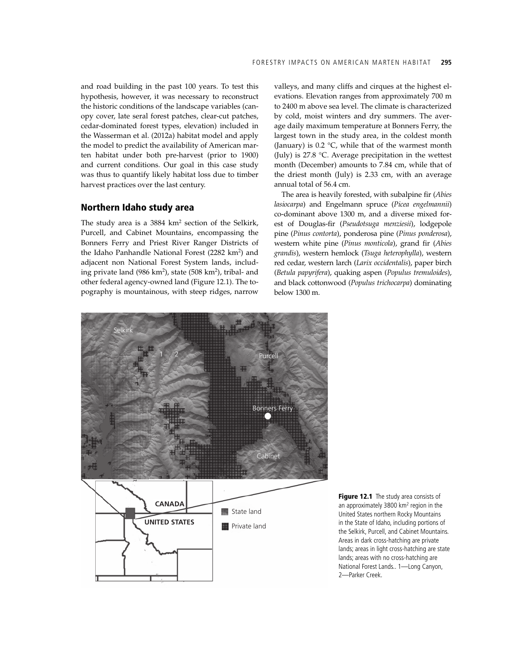and road building in the past 100 years. To test this hypothesis, however, it was necessary to reconstruct the historic conditions of the landscape variables (canopy cover, late seral forest patches, clear-cut patches, cedar-dominated forest types, elevation) included in the Wasserman et al. (2012a) habitat model and apply the model to predict the availability of American marten habitat under both pre-harvest (prior to 1900) and current conditions. Our goal in this case study was thus to quantify likely habitat loss due to timber harvest practices over the last century.

#### Northern Idaho study area

The study area is a 3884 km<sup>2</sup> section of the Selkirk, Purcell, and Cabinet Mountains, encompassing the Bonners Ferry and Priest River Ranger Districts of the Idaho Panhandle National Forest (2282 km<sup>2</sup>) and adjacent non National Forest System lands, including private land (986 km<sup>2</sup>), state (508 km<sup>2</sup>), tribal- and other federal agency-owned land (Figure 12.1). The topography is mountainous, with steep ridges, narrow

valleys, and many cliffs and cirques at the highest elevations. Elevation ranges from approximately 700 m to 2400 m above sea level. The climate is characterized by cold, moist winters and dry summers. The average daily maximum temperature at Bonners Ferry, the largest town in the study area, in the coldest month (January) is 0.2 °C, while that of the warmest month (July) is 27.8 °C. Average precipitation in the wettest month (December) amounts to 7.84 cm, while that of the driest month (July) is 2.33 cm, with an average annual total of 56.4 cm.

The area is heavily forested, with subalpine fir (*Abies lasiocarpa*) and Engelmann spruce (*Picea engelmannii*) co-dominant above 1300 m, and a diverse mixed forest of Douglas-fir (*Pseudotsuga menziesii*), lodgepole pine (*Pinus contorta*), ponderosa pine (*Pinus ponderosa*), western white pine (*Pinus monticola*), grand fir (*Abies grandis*), western hemlock (*Tsuga heterophylla*), western red cedar, western larch (*Larix occidentalis*), paper birch (*Betula papyrifera*), quaking aspen (*Populus tremuloides*), and black cottonwood (*Populus trichocarpa*) dominating below 1300 m.



Figure 12.1 The study area consists of an approximately 3800 km<sup>2</sup> region in the United States northern Rocky Mountains in the State of Idaho, including portions of the Selkirk, Purcell, and Cabinet Mountains. Areas in dark cross-hatching are private lands; areas in light cross-hatching are state lands; areas with no cross-hatching are National Forest Lands.. 1—Long Canyon, 2—Parker Creek.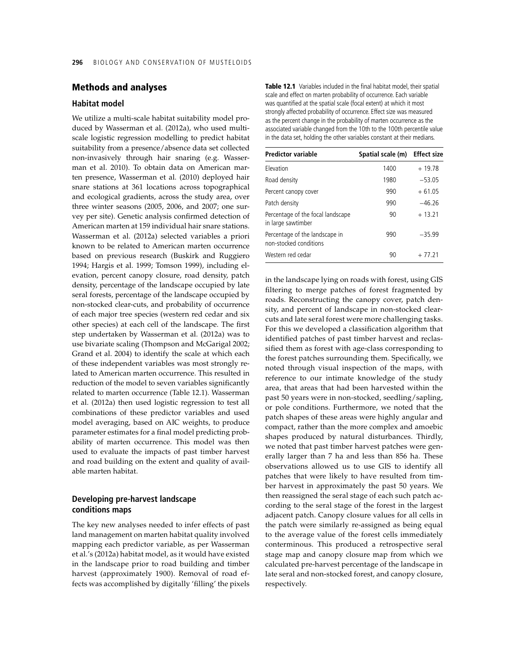#### Methods and analyses

### **Habitat model**

We utilize a multi-scale habitat suitability model produced by Wasserman et al. (2012a), who used multiscale logistic regression modelling to predict habitat suitability from a presence/absence data set collected non-invasively through hair snaring (e.g. Wasserman et al. 2010). To obtain data on American marten presence, Wasserman et al. (2010) deployed hair snare stations at 361 locations across topographical and ecological gradients, across the study area, over three winter seasons (2005, 2006, and 2007; one survey per site). Genetic analysis confirmed detection of American marten at 159 individual hair snare stations. Wasserman et al. (2012a) selected variables a priori known to be related to American marten occurrence based on previous research (Buskirk and Ruggiero 1994; Hargis et al. 1999; Tomson 1999), including elevation, percent canopy closure, road density, patch density, percentage of the landscape occupied by late seral forests, percentage of the landscape occupied by non-stocked clear-cuts, and probability of occurrence of each major tree species (western red cedar and six other species) at each cell of the landscape. The first step undertaken by Wasserman et al. (2012a) was to use bivariate scaling (Thompson and McGarigal 2002; Grand et al. 2004) to identify the scale at which each of these independent variables was most strongly related to American marten occurrence. This resulted in reduction of the model to seven variables significantly related to marten occurrence (Table 12.1). Wasserman et al. (2012a) then used logistic regression to test all combinations of these predictor variables and used model averaging, based on AIC weights, to produce parameter estimates for a final model predicting probability of marten occurrence. This model was then used to evaluate the impacts of past timber harvest and road building on the extent and quality of available marten habitat.

#### **Developing pre-harvest landscape conditions maps**

The key new analyses needed to infer effects of past land management on marten habitat quality involved mapping each predictor variable, as per Wasserman et al.'s (2012a) habitat model, as it would have existed in the landscape prior to road building and timber harvest (approximately 1900). Removal of road effects was accomplished by digitally 'filling' the pixels

Table 12.1 Variables included in the final habitat model, their spatial scale and effect on marten probability of occurrence. Each variable was quantified at the spatial scale (focal extent) at which it most strongly affected probability of occurrence. Effect size was measured as the percent change in the probability of marten occurrence as the associated variable changed from the 10th to the 100th percentile value in the data set, holding the other variables constant at their medians.

| <b>Predictor variable</b>                                | Spatial scale (m) | <b>Effect size</b> |
|----------------------------------------------------------|-------------------|--------------------|
| Flevation                                                | 1400              | $+19.78$           |
| Road density                                             | 1980              | $-53.05$           |
| Percent canopy cover                                     | 990               | $+61.05$           |
| Patch density                                            | 990               | $-46.26$           |
| Percentage of the focal landscape<br>in large sawtimber  | 90                | $+13.21$           |
| Percentage of the landscape in<br>non-stocked conditions | 990               | $-35.99$           |
| Western red cedar                                        | 90                | $+77.21$           |

in the landscape lying on roads with forest, using GIS filtering to merge patches of forest fragmented by roads. Reconstructing the canopy cover, patch density, and percent of landscape in non-stocked clearcuts and late seral forest were more challenging tasks. For this we developed a classification algorithm that identified patches of past timber harvest and reclassified them as forest with age-class corresponding to the forest patches surrounding them. Specifically, we noted through visual inspection of the maps, with reference to our intimate knowledge of the study area, that areas that had been harvested within the past 50 years were in non-stocked, seedling/sapling, or pole conditions. Furthermore, we noted that the patch shapes of these areas were highly angular and compact, rather than the more complex and amoebic shapes produced by natural disturbances. Thirdly, we noted that past timber harvest patches were generally larger than 7 ha and less than 856 ha. These observations allowed us to use GIS to identify all patches that were likely to have resulted from timber harvest in approximately the past 50 years. We then reassigned the seral stage of each such patch according to the seral stage of the forest in the largest adjacent patch. Canopy closure values for all cells in the patch were similarly re-assigned as being equal to the average value of the forest cells immediately conterminous. This produced a retrospective seral stage map and canopy closure map from which we calculated pre-harvest percentage of the landscape in late seral and non-stocked forest, and canopy closure, respectively.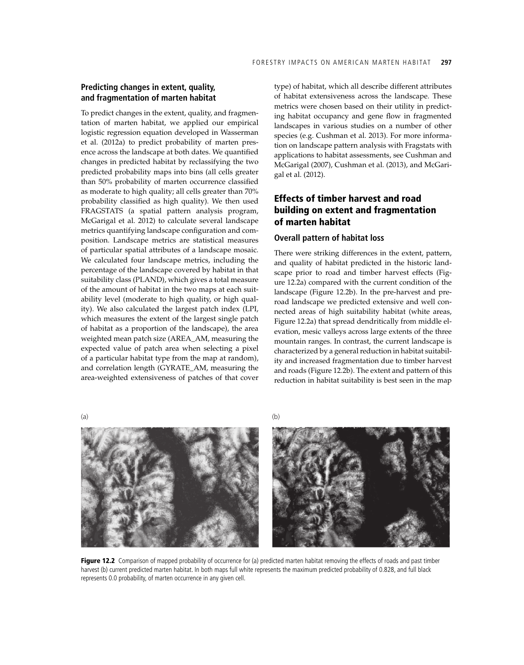## **Predicting changes in extent, quality, and fragmentation of marten habitat**

To predict changes in the extent, quality, and fragmentation of marten habitat, we applied our empirical logistic regression equation developed in Wasserman et al. (2012a) to predict probability of marten presence across the landscape at both dates. We quantified changes in predicted habitat by reclassifying the two predicted probability maps into bins (all cells greater than 50% probability of marten occurrence classified as moderate to high quality; all cells greater than 70% probability classified as high quality). We then used FRAGSTATS (a spatial pattern analysis program, McGarigal et al. 2012) to calculate several landscape metrics quantifying landscape configuration and composition. Landscape metrics are statistical measures of particular spatial attributes of a landscape mosaic. We calculated four landscape metrics, including the percentage of the landscape covered by habitat in that suitability class (PLAND), which gives a total measure of the amount of habitat in the two maps at each suitability level (moderate to high quality, or high quality). We also calculated the largest patch index (LPI, which measures the extent of the largest single patch of habitat as a proportion of the landscape), the area weighted mean patch size (AREA\_AM, measuring the expected value of patch area when selecting a pixel of a particular habitat type from the map at random), and correlation length (GYRATE\_AM, measuring the area-weighted extensiveness of patches of that cover type) of habitat, which all describe different attributes of habitat extensiveness across the landscape. These metrics were chosen based on their utility in predicting habitat occupancy and gene flow in fragmented landscapes in various studies on a number of other species (e.g. Cushman et al. 2013). For more information on landscape pattern analysis with Fragstats with applications to habitat assessments, see Cushman and McGarigal (2007), Cushman et al. (2013), and McGarigal et al. (2012).

# Effects of timber harvest and road building on extent and fragmentation of marten habitat

#### **Overall pattern of habitat loss**

There were striking differences in the extent, pattern, and quality of habitat predicted in the historic landscape prior to road and timber harvest effects (Figure 12.2a) compared with the current condition of the landscape (Figure 12.2b). In the pre-harvest and preroad landscape we predicted extensive and well connected areas of high suitability habitat (white areas, Figure 12.2a) that spread dendritically from middle elevation, mesic valleys across large extents of the three mountain ranges. In contrast, the current landscape is characterized by a general reduction in habitat suitability and increased fragmentation due to timber harvest and roads (Figure 12.2b). The extent and pattern of this reduction in habitat suitability is best seen in the map





Figure 12.2 Comparison of mapped probability of occurrence for (a) predicted marten habitat removing the effects of roads and past timber harvest (b) current predicted marten habitat. In both maps full white represents the maximum predicted probability of 0.828, and full black represents 0.0 probability, of marten occurrence in any given cell.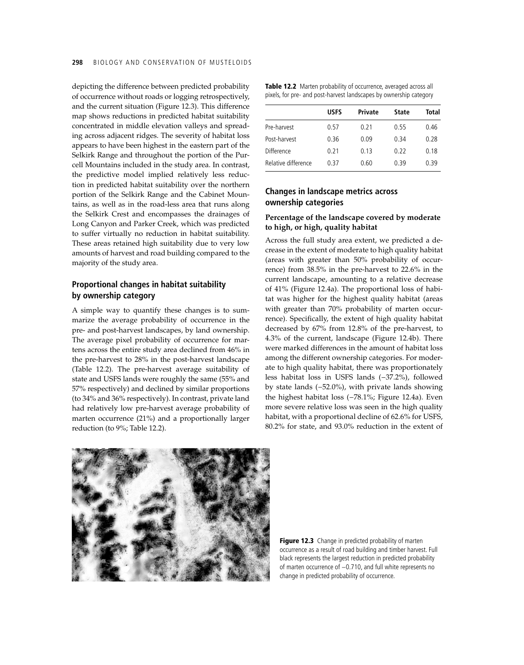depicting the difference between predicted probability of occurrence without roads or logging retrospectively, and the current situation (Figure 12.3). This difference map shows reductions in predicted habitat suitability concentrated in middle elevation valleys and spreading across adjacent ridges. The severity of habitat loss appears to have been highest in the eastern part of the Selkirk Range and throughout the portion of the Purcell Mountains included in the study area. In contrast, the predictive model implied relatively less reduction in predicted habitat suitability over the northern portion of the Selkirk Range and the Cabinet Mountains, as well as in the road-less area that runs along the Selkirk Crest and encompasses the drainages of Long Canyon and Parker Creek, which was predicted to suffer virtually no reduction in habitat suitability. These areas retained high suitability due to very low amounts of harvest and road building compared to the majority of the study area.

# **Proportional changes in habitat suitability by ownership category**

A simple way to quantify these changes is to summarize the average probability of occurrence in the pre- and post-harvest landscapes, by land ownership. The average pixel probability of occurrence for martens across the entire study area declined from 46% in the pre-harvest to 28% in the post-harvest landscape (Table 12.2). The pre-harvest average suitability of state and USFS lands were roughly the same (55% and 57% respectively) and declined by similar proportions (to 34% and 36% respectively). In contrast, private land had relatively low pre-harvest average probability of marten occurrence (21%) and a proportionally larger reduction (to 9%; Table 12.2).

| Table 12.2 Marten probability of occurrence, averaged across all   |  |
|--------------------------------------------------------------------|--|
| pixels, for pre- and post-harvest landscapes by ownership category |  |

|                     | <b>USFS</b> | Private | <b>State</b> | Total |
|---------------------|-------------|---------|--------------|-------|
| Pre-harvest         | 0.57        | 0.21    | 0.55         | 0.46  |
| Post-harvest        | 0.36        | 0.09    | 0.34         | 0.28  |
| Difference          | 0.21        | 0.13    | 0.22         | 0.18  |
| Relative difference | በ 37        | 0.60    | 0.39         | 0.39  |

# **Changes in landscape metrics across ownership categories**

#### **Percentage of the landscape covered by moderate to high, or high, quality habitat**

Across the full study area extent, we predicted a decrease in the extent of moderate to high quality habitat (areas with greater than 50% probability of occurrence) from 38.5% in the pre-harvest to 22.6% in the current landscape, amounting to a relative decrease of 41% (Figure 12.4a). The proportional loss of habitat was higher for the highest quality habitat (areas with greater than 70% probability of marten occurrence). Specifically, the extent of high quality habitat decreased by 67% from 12.8% of the pre-harvest, to 4.3% of the current, landscape (Figure 12.4b). There were marked differences in the amount of habitat loss among the different ownership categories. For moderate to high quality habitat, there was proportionately less habitat loss in USFS lands (−37.2%), followed by state lands (−52.0%), with private lands showing the highest habitat loss (−78.1%; Figure 12.4a). Even more severe relative loss was seen in the high quality habitat, with a proportional decline of 62.6% for USFS, 80.2% for state, and 93.0% reduction in the extent of



Figure 12.3 Change in predicted probability of marten occurrence as a result of road building and timber harvest. Full black represents the largest reduction in predicted probability of marten occurrence of −0.710, and full white represents no change in predicted probability of occurrence.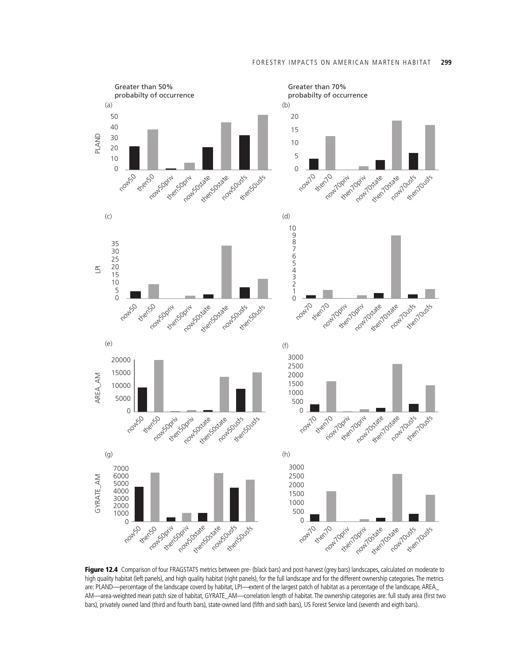

Figure 12.4 Comparison of four FRAGSTATS metrics between pre- (black bars) and post-harvest (grey bars) landscapes, calculated on moderate to high quality habitat (left panels), and high quality habitat (right panels), for the full landscape and for the different ownership categories. The metrics are: PLAND—percentage of the landscape coverd by habitat, LPI—extent of the largest patch of habitat as a percentage of the landscape, AREA\_ AM—area-weighted mean patch size of habitat, GYRATE\_AM—correlation length of habitat. The ownership categories are: full study area (first two bars), privately owned land (third and fourth bars), state-owned land (fifth and sixth bars), US Forest Service land (seventh and eigth bars).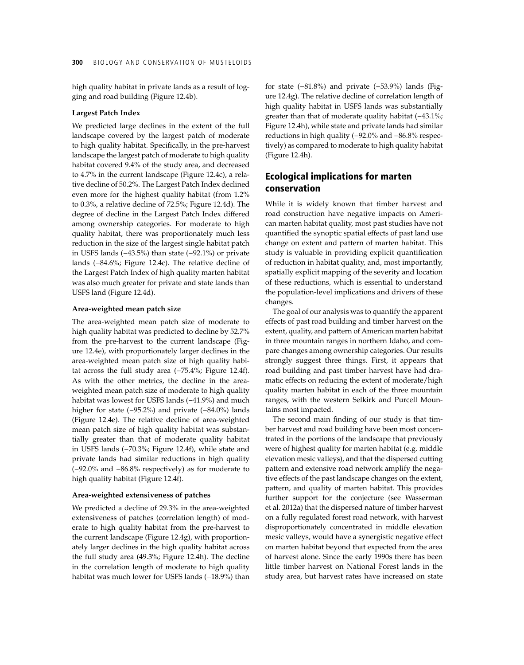high quality habitat in private lands as a result of logging and road building (Figure 12.4b).

#### **Largest Patch Index**

We predicted large declines in the extent of the full landscape covered by the largest patch of moderate to high quality habitat. Specifically, in the pre-harvest landscape the largest patch of moderate to high quality habitat covered 9.4% of the study area, and decreased to 4.7% in the current landscape (Figure 12.4c), a relative decline of 50.2%. The Largest Patch Index declined even more for the highest quality habitat (from 1.2% to 0.3%, a relative decline of 72.5%; Figure 12.4d). The degree of decline in the Largest Patch Index differed among ownership categories. For moderate to high quality habitat, there was proportionately much less reduction in the size of the largest single habitat patch in USFS lands (−43.5%) than state (−92.1%) or private lands (−84.6%; Figure 12.4c). The relative decline of the Largest Patch Index of high quality marten habitat was also much greater for private and state lands than USFS land (Figure 12.4d).

#### **Area-weighted mean patch size**

The area-weighted mean patch size of moderate to high quality habitat was predicted to decline by 52.7% from the pre-harvest to the current landscape (Figure 12.4e), with proportionately larger declines in the area-weighted mean patch size of high quality habitat across the full study area (−75.4%; Figure 12.4f). As with the other metrics, the decline in the areaweighted mean patch size of moderate to high quality habitat was lowest for USFS lands (−41.9%) and much higher for state (−95.2%) and private (−84.0%) lands (Figure 12.4e). The relative decline of area-weighted mean patch size of high quality habitat was substantially greater than that of moderate quality habitat in USFS lands (−70.3%; Figure 12.4f), while state and private lands had similar reductions in high quality (−92.0% and −86.8% respectively) as for moderate to high quality habitat (Figure 12.4f).

#### **Area-weighted extensiveness of patches**

We predicted a decline of 29.3% in the area-weighted extensiveness of patches (correlation length) of moderate to high quality habitat from the pre-harvest to the current landscape (Figure 12.4g), with proportionately larger declines in the high quality habitat across the full study area (49.3%; Figure 12.4h). The decline in the correlation length of moderate to high quality habitat was much lower for USFS lands (−18.9%) than

for state (−81.8%) and private (−53.9%) lands (Figure 12.4g). The relative decline of correlation length of high quality habitat in USFS lands was substantially greater than that of moderate quality habitat (-43.1%; Figure 12.4h), while state and private lands had similar reductions in high quality (−92.0% and −86.8% respectively) as compared to moderate to high quality habitat (Figure 12.4h).

# Ecological implications for marten conservation

While it is widely known that timber harvest and road construction have negative impacts on American marten habitat quality, most past studies have not quantified the synoptic spatial effects of past land use change on extent and pattern of marten habitat. This study is valuable in providing explicit quantification of reduction in habitat quality, and, most importantly, spatially explicit mapping of the severity and location of these reductions, which is essential to understand the population-level implications and drivers of these changes.

The goal of our analysis was to quantify the apparent effects of past road building and timber harvest on the extent, quality, and pattern of American marten habitat in three mountain ranges in northern Idaho, and compare changes among ownership categories. Our results strongly suggest three things. First, it appears that road building and past timber harvest have had dramatic effects on reducing the extent of moderate/high quality marten habitat in each of the three mountain ranges, with the western Selkirk and Purcell Mountains most impacted.

The second main finding of our study is that timber harvest and road building have been most concentrated in the portions of the landscape that previously were of highest quality for marten habitat (e.g. middle elevation mesic valleys), and that the dispersed cutting pattern and extensive road network amplify the negative effects of the past landscape changes on the extent, pattern, and quality of marten habitat. This provides further support for the conjecture (see Wasserman et al. 2012a) that the dispersed nature of timber harvest on a fully regulated forest road network, with harvest disproportionately concentrated in middle elevation mesic valleys, would have a synergistic negative effect on marten habitat beyond that expected from the area of harvest alone. Since the early 1990s there has been little timber harvest on National Forest lands in the study area, but harvest rates have increased on state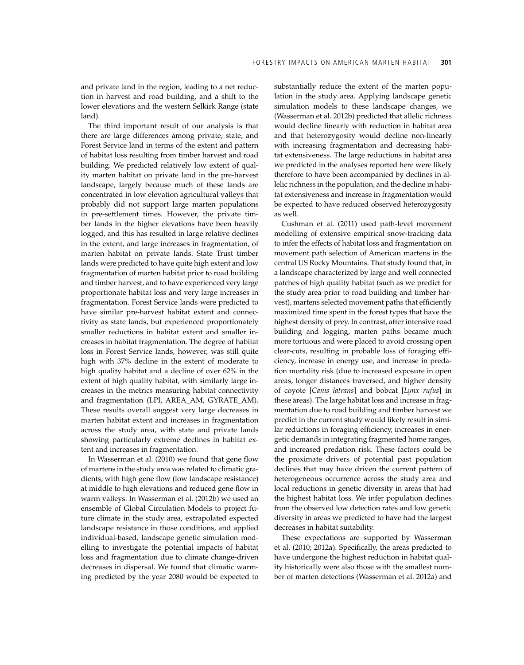and private land in the region, leading to a net reduction in harvest and road building, and a shift to the lower elevations and the western Selkirk Range (state land).

The third important result of our analysis is that there are large differences among private, state, and Forest Service land in terms of the extent and pattern of habitat loss resulting from timber harvest and road building. We predicted relatively low extent of quality marten habitat on private land in the pre-harvest landscape, largely because much of these lands are concentrated in low elevation agricultural valleys that probably did not support large marten populations in pre-settlement times. However, the private timber lands in the higher elevations have been heavily logged, and this has resulted in large relative declines in the extent, and large increases in fragmentation, of marten habitat on private lands. State Trust timber lands were predicted to have quite high extent and low fragmentation of marten habitat prior to road building and timber harvest, and to have experienced very large proportionate habitat loss and very large increases in fragmentation. Forest Service lands were predicted to have similar pre-harvest habitat extent and connectivity as state lands, but experienced proportionately smaller reductions in habitat extent and smaller increases in habitat fragmentation. The degree of habitat loss in Forest Service lands, however, was still quite high with 37% decline in the extent of moderate to high quality habitat and a decline of over 62% in the extent of high quality habitat, with similarly large increases in the metrics measuring habitat connectivity and fragmentation (LPI, AREA\_AM, GYRATE\_AM). These results overall suggest very large decreases in marten habitat extent and increases in fragmentation across the study area, with state and private lands showing particularly extreme declines in habitat extent and increases in fragmentation.

In Wasserman et al. (2010) we found that gene flow of martens in the study area was related to climatic gradients, with high gene flow (low landscape resistance) at middle to high elevations and reduced gene flow in warm valleys. In Wasserman et al. (2012b) we used an ensemble of Global Circulation Models to project future climate in the study area, extrapolated expected landscape resistance in those conditions, and applied individual-based, landscape genetic simulation modelling to investigate the potential impacts of habitat loss and fragmentation due to climate change-driven decreases in dispersal. We found that climatic warming predicted by the year 2080 would be expected to substantially reduce the extent of the marten population in the study area. Applying landscape genetic simulation models to these landscape changes, we (Wasserman et al. 2012b) predicted that allelic richness would decline linearly with reduction in habitat area and that heterozygosity would decline non-linearly with increasing fragmentation and decreasing habitat extensiveness. The large reductions in habitat area we predicted in the analyses reported here were likely therefore to have been accompanied by declines in allelic richness in the population, and the decline in habitat extensiveness and increase in fragmentation would be expected to have reduced observed heterozygosity as well.

Cushman et al. (2011) used path-level movement modelling of extensive empirical snow-tracking data to infer the effects of habitat loss and fragmentation on movement path selection of American martens in the central US Rocky Mountains. That study found that, in a landscape characterized by large and well connected patches of high quality habitat (such as we predict for the study area prior to road building and timber harvest), martens selected movement paths that efficiently maximized time spent in the forest types that have the highest density of prey. In contrast, after intensive road building and logging, marten paths became much more tortuous and were placed to avoid crossing open clear-cuts, resulting in probable loss of foraging efficiency, increase in energy use, and increase in predation mortality risk (due to increased exposure in open areas, longer distances traversed, and higher density of coyote [*Canis latrans*] and bobcat [*Lynx rufus*] in these areas). The large habitat loss and increase in fragmentation due to road building and timber harvest we predict in the current study would likely result in similar reductions in foraging efficiency, increases in energetic demands in integrating fragmented home ranges, and increased predation risk. These factors could be the proximate drivers of potential past population declines that may have driven the current pattern of heterogeneous occurrence across the study area and local reductions in genetic diversity in areas that had the highest habitat loss. We infer population declines from the observed low detection rates and low genetic diversity in areas we predicted to have had the largest decreases in habitat suitability.

These expectations are supported by Wasserman et al. (2010; 2012a). Specifically, the areas predicted to have undergone the highest reduction in habitat quality historically were also those with the smallest number of marten detections (Wasserman et al. 2012a) and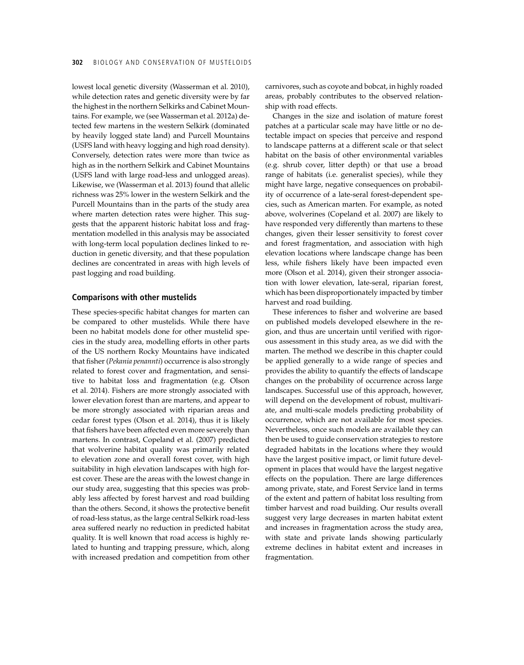lowest local genetic diversity (Wasserman et al. 2010), while detection rates and genetic diversity were by far the highest in the northern Selkirks and Cabinet Mountains. For example, we (see Wasserman et al. 2012a) detected few martens in the western Selkirk (dominated by heavily logged state land) and Purcell Mountains (USFS land with heavy logging and high road density). Conversely, detection rates were more than twice as high as in the northern Selkirk and Cabinet Mountains (USFS land with large road-less and unlogged areas). Likewise, we (Wasserman et al. 2013) found that allelic richness was 25% lower in the western Selkirk and the Purcell Mountains than in the parts of the study area where marten detection rates were higher. This suggests that the apparent historic habitat loss and fragmentation modelled in this analysis may be associated with long-term local population declines linked to reduction in genetic diversity, and that these population declines are concentrated in areas with high levels of past logging and road building.

#### **Comparisons with other mustelids**

These species-specific habitat changes for marten can be compared to other mustelids. While there have been no habitat models done for other mustelid species in the study area, modelling efforts in other parts of the US northern Rocky Mountains have indicated that fisher (*Pekania penannti*) occurrence is also strongly related to forest cover and fragmentation, and sensitive to habitat loss and fragmentation (e.g. Olson et al. 2014). Fishers are more strongly associated with lower elevation forest than are martens, and appear to be more strongly associated with riparian areas and cedar forest types (Olson et al. 2014), thus it is likely that fishers have been affected even more severely than martens. In contrast, Copeland et al. (2007) predicted that wolverine habitat quality was primarily related to elevation zone and overall forest cover, with high suitability in high elevation landscapes with high forest cover. These are the areas with the lowest change in our study area, suggesting that this species was probably less affected by forest harvest and road building than the others. Second, it shows the protective benefit of road-less status, as the large central Selkirk road-less area suffered nearly no reduction in predicted habitat quality. It is well known that road access is highly related to hunting and trapping pressure, which, along with increased predation and competition from other carnivores, such as coyote and bobcat, in highly roaded areas, probably contributes to the observed relationship with road effects.

Changes in the size and isolation of mature forest patches at a particular scale may have little or no detectable impact on species that perceive and respond to landscape patterns at a different scale or that select habitat on the basis of other environmental variables (e.g. shrub cover, litter depth) or that use a broad range of habitats (i.e. generalist species), while they might have large, negative consequences on probability of occurrence of a late-seral forest-dependent species, such as American marten. For example, as noted above, wolverines (Copeland et al. 2007) are likely to have responded very differently than martens to these changes, given their lesser sensitivity to forest cover and forest fragmentation, and association with high elevation locations where landscape change has been less, while fishers likely have been impacted even more (Olson et al. 2014), given their stronger association with lower elevation, late-seral, riparian forest, which has been disproportionately impacted by timber harvest and road building.

These inferences to fisher and wolverine are based on published models developed elsewhere in the region, and thus are uncertain until verified with rigorous assessment in this study area, as we did with the marten. The method we describe in this chapter could be applied generally to a wide range of species and provides the ability to quantify the effects of landscape changes on the probability of occurrence across large landscapes. Successful use of this approach, however, will depend on the development of robust, multivariate, and multi-scale models predicting probability of occurrence, which are not available for most species. Nevertheless, once such models are available they can then be used to guide conservation strategies to restore degraded habitats in the locations where they would have the largest positive impact, or limit future development in places that would have the largest negative effects on the population. There are large differences among private, state, and Forest Service land in terms of the extent and pattern of habitat loss resulting from timber harvest and road building. Our results overall suggest very large decreases in marten habitat extent and increases in fragmentation across the study area, with state and private lands showing particularly extreme declines in habitat extent and increases in fragmentation.